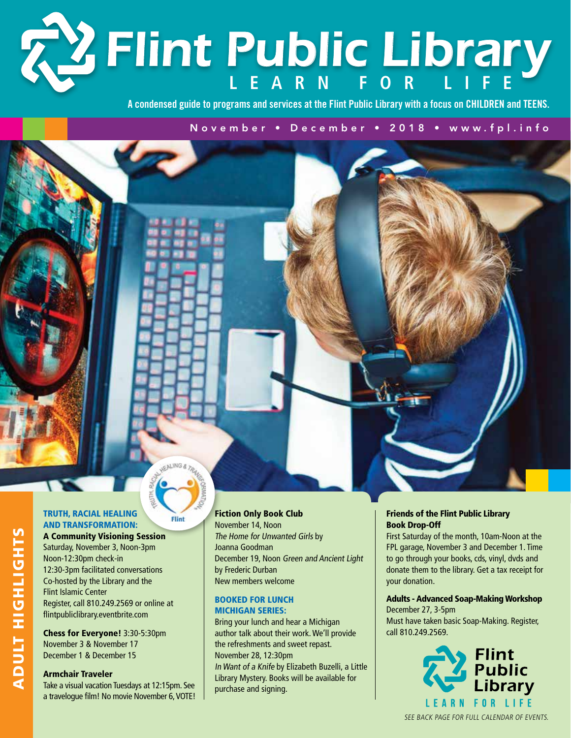# **Learn f o r L i f e** *Flint Public Library*

**A condensed guide to programs and services at the Flint Public Library with a focus on CHILDREN and TEENS.**

November • December • 2018 • www.fpl.info

#### Truth, Racial Healing and Transformation:

Filmt

#### A Community Visioning Session

Saturday, November 3, Noon-3pm Noon-12:30pm check-in 12:30-3pm facilitated conversations Co-hosted by the Library and the Flint Islamic Center Register, call 810.249.2569 or online at flintpubliclibrary.eventbrite.com

Chess for Everyone! 3:30-5:30pm November 3 & November 17 December 1 & December 15

#### Armchair Traveler

Take a visual vacation Tuesdays at 12:15pm. See a travelogue film! No movie November 6, VOTE!

#### Fiction Only Book Club

November 14, Noon The Home for Unwanted Girls by Joanna Goodman December 19, Noon Green and Ancient Light by Frederic Durban New members welcome

#### Booked for Lunch Michigan Series:

Bring your lunch and hear a Michigan author talk about their work. We'll provide the refreshments and sweet repast. November 28, 12:30pm In Want of a Knife by Elizabeth Buzelli, a Little Library Mystery. Books will be available for purchase and signing.

#### Friends of the Flint Public Library Book Drop-Off

First Saturday of the month, 10am-Noon at the FPL garage, November 3 and December 1. Time to go through your books, cds, vinyl, dvds and donate them to the library. Get a tax receipt for your donation.

#### Adults - Advanced Soap-Making Workshop

December 27, 3-5pm Must have taken basic Soap-Making. Register, call 810.249.2569.



SEE BACK PAGE FOR FULL CALENDAR OF EVENTS.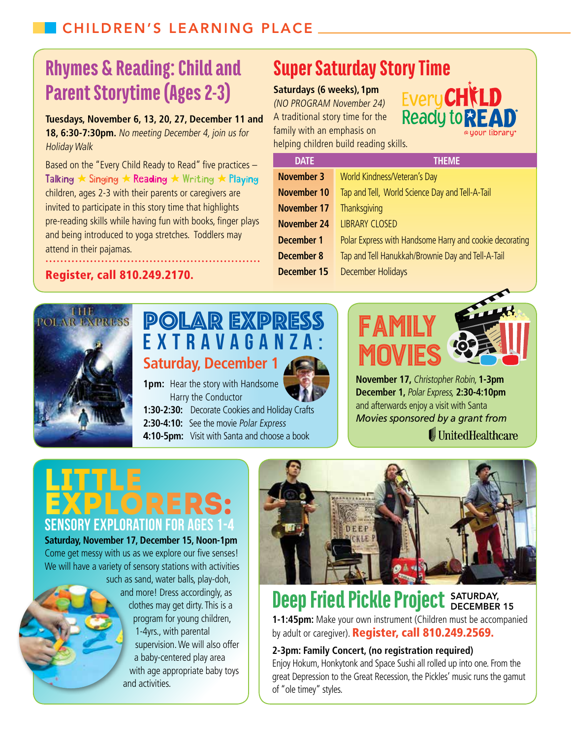## Parent Storytime (Ages 2-3) Rhymes & Reading: Child and

**Tuesdays, November 6, 13, 20, 27, December 11 and 18, 6:30-7:30pm.** No meeting December 4, join us for Holiday Walk

Based on the "Every Child Ready to Read" five practices – Talking  $\star$  Singing  $\star$  Reading  $\star$  Writing  $\star$  Playing children, ages 2-3 with their parents or caregivers are invited to participate in this story time that highlights pre-reading skills while having fun with books, finger plays and being introduced to yoga stretches. Toddlers may attend in their pajamas.

## Super Saturday Story Time

**Saturdays (6 weeks),1pm** (NO PROGRAM November 24) A traditional story time for the family with an emphasis on helping children build reading skills.



| <b>DATE</b>        | <b>THEME</b>                                            |
|--------------------|---------------------------------------------------------|
| <b>November 3</b>  | World Kindness/Veteran's Day                            |
| November 10        | Tap and Tell, World Science Day and Tell-A-Tail         |
| <b>November 17</b> | Thanksgiving                                            |
| <b>November 24</b> | <b>LIBRARY CLOSED</b>                                   |
| <b>December 1</b>  | Polar Express with Handsome Harry and cookie decorating |
| <b>December 8</b>  | Tap and Tell Hanukkah/Brownie Day and Tell-A-Tail       |
| <b>December 15</b> | <b>December Holidays</b>                                |
|                    |                                                         |

#### Register, call 810.249.2170.



### Polar Express **Extravaganza: Saturday, December 1**

**1pm:** Hear the story with Handsome Harry the Conductor **1:30-2:30:** Decorate Cookies and Holiday Crafts **2:30-4:10:** See the movie Polar Express **4:10-5pm:** Visit with Santa and choose a book

# Family **MOVIES**



**November 17,** Christopher Robin, **1-3pm December 1,** Polar Express, **2:30-4:10pm** and afterwards enjoy a visit with Santa *Movies sponsored by a grant from*  **UnitedHealthcare** 

# **SENSORY EXPLORATION FOR AGE** LITTLE<br>EXPLORERS:

**Saturday, November 17, December 15, Noon-1pm** Come get messy with us as we explore our five senses! We will have a variety of sensory stations with activities such as sand, water balls, play-doh, and more! Dress accordingly, as clothes may get dirty. This is a

program for young children, 1-4yrs., with parental supervision. We will also offer a baby-centered play area with age appropriate baby toys and activities.



#### Deep Fried Pickle Project SATURDAY, December 15

**1-1:45pm:** Make your own instrument (Children must be accompanied by adult or caregiver). Register, call 810.249.2569.

### **2-3pm: Family Concert, (no registration required)**

Enjoy Hokum, Honkytonk and Space Sushi all rolled up into one. From the great Depression to the Great Recession, the Pickles' music runs the gamut of "ole timey" styles.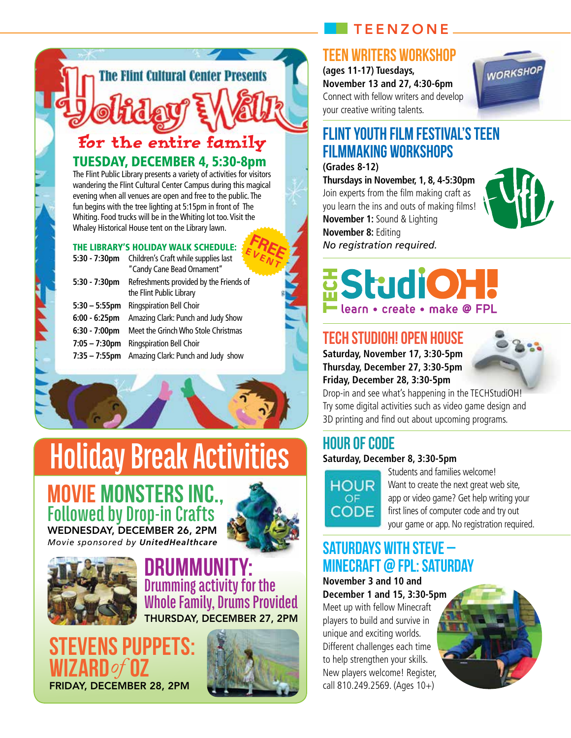### TeenZone

### Teen Writers Workshop

**(ages 11-17) Tuesdays, November 13 and 27, 4:30-6pm** Connect with fellow writers and develop your creative writing talents.



### Flint Youth Film Festival's Teen Filmmaking Workshops

#### **(Grades 8-12)**

**Thursdays in November, 1, 8, 4-5:30pm** Join experts from the film making craft as you learn the ins and outs of making films! **November 1:** Sound & Lighting **November 8:** Editing *No registration required.*



# **EStudiOH** learn • create • make @ FPL

### TECH StudiOH! Open House

**Saturday, November 17, 3:30-5pm Thursday, December 27, 3:30-5pm Friday, December 28, 3:30-5pm**



Drop-in and see what's happening in the TECHStudiOH! Try some digital activities such as video game design and 3D printing and find out about upcoming programs.

## Hour of Code

#### **Saturday, December 8, 3:30-5pm**



Students and families welcome! Want to create the next great web site. app or video game? Get help writing your first lines of computer code and try out your game or app. No registration required.

### Saturdays with Steve – Minecraft @ FPL: Saturday

**November 3 and 10 and December 1 and 15, 3:30-5pm** Meet up with fellow Minecraft players to build and survive in

unique and exciting worlds. Different challenges each time to help strengthen your skills. New players welcome! Register, call 810.249.2569. (Ages 10+)



TUESDAY, DECEMBER 4, 5:30-8pm For the entire family

**The Flint Cultural Center Presents** 

The Flint Public Library presents a variety of activities for visitors wandering the Flint Cultural Center Campus during this magical evening when all venues are open and free to the public. The fun begins with the tree lighting at 5:15pm in front of The Whiting. Food trucks will be in the Whiting lot too. Visit the Whaley Historical House tent on the Library lawn.

#### The Library's Holiday Walk Schedule:

| THE LIBRARY'S HOLIDAY WALK SCHEDULE: |                                                                     |  |
|--------------------------------------|---------------------------------------------------------------------|--|
| $5:30 - 7:30$ pm                     | Children's Craft while supplies last<br>"Candy Cane Bead Ornament"  |  |
| $5:30 - 7:30$ pm                     | Refreshments provided by the Friends of<br>the Flint Public Library |  |
| $5:30 - 5:55$ pm                     | Ringspiration Bell Choir                                            |  |
| $6:00 - 6:25$ pm                     | Amazing Clark: Punch and Judy Show                                  |  |
| $6:30 - 7:00$ pm                     | Meet the Grinch Who Stole Christmas                                 |  |
| $7:05 - 7:30$ pm                     | Ringspiration Bell Choir                                            |  |
| $7:35 - 7:55$ pm                     | Amazing Clark: Punch and Judy show                                  |  |



### **Movie MonstersInc., Followed by Drop-in Crafts** WEDNESDAY, DECEMBER 26, 2PI

*Movie sponsored by UnitedHealthcare*



### **Drummunity: Drumming activity for the Whole Family, Drums Provided** Thursday, December 27, 2pm

**VENS PUPPETS: Wizard** *of* **Oz** Friday, December 28, 2pm